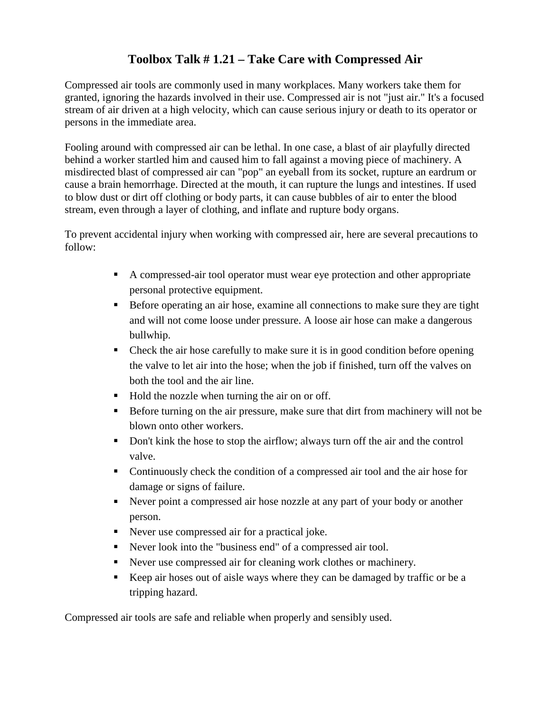## **Toolbox Talk # 1.21 – Take Care with Compressed Air**

Compressed air tools are commonly used in many workplaces. Many workers take them for granted, ignoring the hazards involved in their use. Compressed air is not "just air." It's a focused stream of air driven at a high velocity, which can cause serious injury or death to its operator or persons in the immediate area.

Fooling around with compressed air can be lethal. In one case, a blast of air playfully directed behind a worker startled him and caused him to fall against a moving piece of machinery. A misdirected blast of compressed air can "pop" an eyeball from its socket, rupture an eardrum or cause a brain hemorrhage. Directed at the mouth, it can rupture the lungs and intestines. If used to blow dust or dirt off clothing or body parts, it can cause bubbles of air to enter the blood stream, even through a layer of clothing, and inflate and rupture body organs.

To prevent accidental injury when working with compressed air, here are several precautions to follow:

- A compressed-air tool operator must wear eye protection and other appropriate personal protective equipment.
- Before operating an air hose, examine all connections to make sure they are tight and will not come loose under pressure. A loose air hose can make a dangerous bullwhip.
- Check the air hose carefully to make sure it is in good condition before opening the valve to let air into the hose; when the job if finished, turn off the valves on both the tool and the air line.
- Hold the nozzle when turning the air on or off.
- Before turning on the air pressure, make sure that dirt from machinery will not be blown onto other workers.
- Don't kink the hose to stop the airflow; always turn off the air and the control valve.
- Continuously check the condition of a compressed air tool and the air hose for damage or signs of failure.
- Never point a compressed air hose nozzle at any part of your body or another person.
- Never use compressed air for a practical joke.
- Never look into the "business end" of a compressed air tool.
- Never use compressed air for cleaning work clothes or machinery.
- Keep air hoses out of aisle ways where they can be damaged by traffic or be a tripping hazard.

Compressed air tools are safe and reliable when properly and sensibly used.